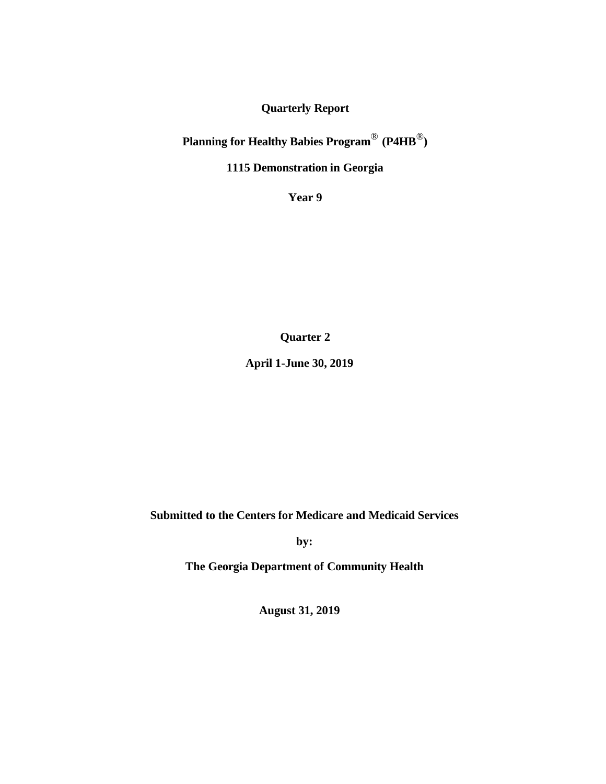**Quarterly Report**

**Planning for Healthy Babies Program**® **(P4HB**®**)**

**1115 Demonstration in Georgia**

**Year 9**

**Quarter 2**

**April 1-June 30, 2019**

**Submitted to the Centers for Medicare and Medicaid Services**

**by:**

**The Georgia Department of Community Health**

**August 31, 2019**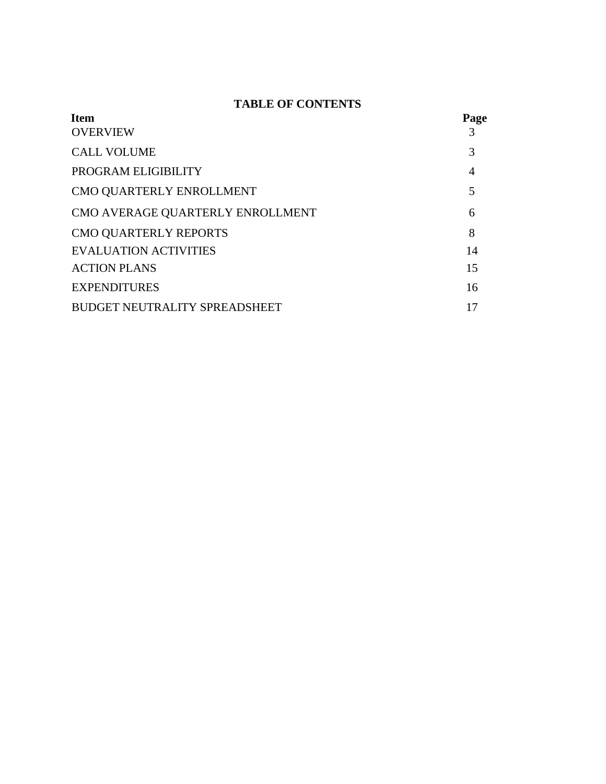# **TABLE OF CONTENTS**

| <b>Item</b>                          | Page           |
|--------------------------------------|----------------|
| <b>OVERVIEW</b>                      |                |
| <b>CALL VOLUME</b>                   | 3              |
| PROGRAM ELIGIBILITY                  | $\overline{4}$ |
| CMO QUARTERLY ENROLLMENT             | 5              |
| CMO AVERAGE QUARTERLY ENROLLMENT     | 6              |
| <b>CMO QUARTERLY REPORTS</b>         | 8              |
| <b>EVALUATION ACTIVITIES</b>         | 14             |
| <b>ACTION PLANS</b>                  | 15             |
| <b>EXPENDITURES</b>                  | 16             |
| <b>BUDGET NEUTRALITY SPREADSHEET</b> | 17             |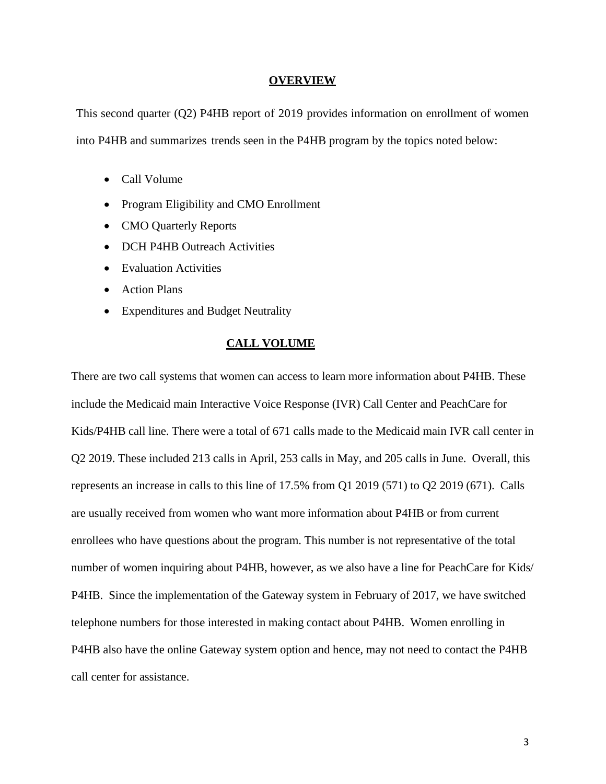#### **OVERVIEW**

This second quarter (Q2) P4HB report of 2019 provides information on enrollment of women into P4HB and summarizes trends seen in the P4HB program by the topics noted below:

- Call Volume
- Program Eligibility and CMO Enrollment
- CMO Quarterly Reports
- DCH P4HB Outreach Activities
- Evaluation Activities
- Action Plans
- Expenditures and Budget Neutrality

### **CALL VOLUME**

There are two call systems that women can access to learn more information about P4HB. These include the Medicaid main Interactive Voice Response (IVR) Call Center and PeachCare for Kids/P4HB call line. There were a total of 671 calls made to the Medicaid main IVR call center in Q2 2019. These included 213 calls in April, 253 calls in May, and 205 calls in June. Overall, this represents an increase in calls to this line of 17.5% from Q1 2019 (571) to Q2 2019 (671). Calls are usually received from women who want more information about P4HB or from current enrollees who have questions about the program. This number is not representative of the total number of women inquiring about P4HB, however, as we also have a line for PeachCare for Kids/ P4HB. Since the implementation of the Gateway system in February of 2017, we have switched telephone numbers for those interested in making contact about P4HB. Women enrolling in P4HB also have the online Gateway system option and hence, may not need to contact the P4HB call center for assistance.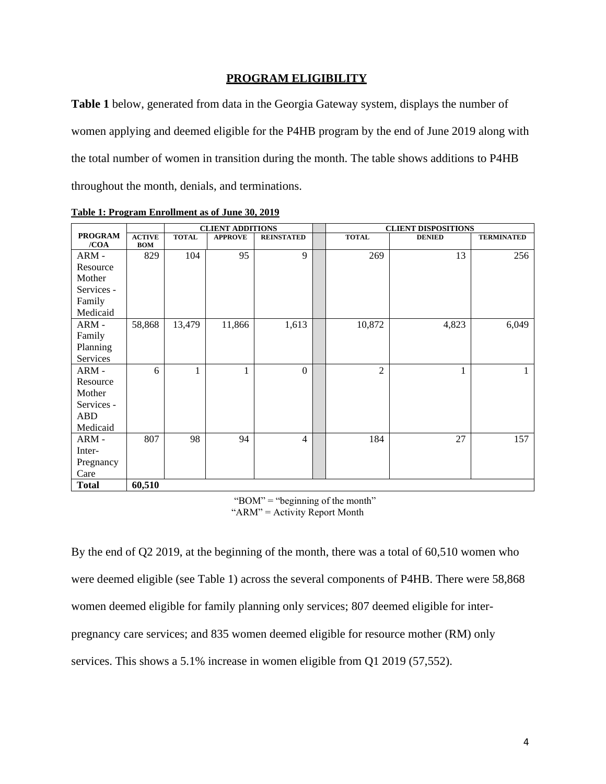## **PROGRAM ELIGIBILITY**

**Table 1** below, generated from data in the Georgia Gateway system, displays the number of women applying and deemed eligible for the P4HB program by the end of June 2019 along with the total number of women in transition during the month. The table shows additions to P4HB throughout the month, denials, and terminations.

|                        |                             | <b>CLIENT ADDITIONS</b> |                |                   | <b>CLIENT DISPOSITIONS</b> |               |                   |  |  |  |
|------------------------|-----------------------------|-------------------------|----------------|-------------------|----------------------------|---------------|-------------------|--|--|--|
| <b>PROGRAM</b><br>/COA | <b>ACTIVE</b><br><b>BOM</b> | <b>TOTAL</b>            | <b>APPROVE</b> | <b>REINSTATED</b> | <b>TOTAL</b>               | <b>DENIED</b> | <b>TERMINATED</b> |  |  |  |
| ARM-                   | 829                         | 104                     | 95             | 9                 | 269                        | 13            | 256               |  |  |  |
| Resource               |                             |                         |                |                   |                            |               |                   |  |  |  |
| Mother                 |                             |                         |                |                   |                            |               |                   |  |  |  |
| Services -             |                             |                         |                |                   |                            |               |                   |  |  |  |
| Family                 |                             |                         |                |                   |                            |               |                   |  |  |  |
| Medicaid               |                             |                         |                |                   |                            |               |                   |  |  |  |
| ARM-                   | 58,868                      | 13,479                  | 11,866         | 1,613             | 10,872                     | 4,823         | 6,049             |  |  |  |
| Family                 |                             |                         |                |                   |                            |               |                   |  |  |  |
| Planning               |                             |                         |                |                   |                            |               |                   |  |  |  |
| Services               |                             |                         |                |                   |                            |               |                   |  |  |  |
| ARM-                   | 6                           | 1                       | 1              | $\theta$          | $\overline{2}$             | 1             | 1                 |  |  |  |
| Resource               |                             |                         |                |                   |                            |               |                   |  |  |  |
| Mother                 |                             |                         |                |                   |                            |               |                   |  |  |  |
| Services -             |                             |                         |                |                   |                            |               |                   |  |  |  |
| <b>ABD</b>             |                             |                         |                |                   |                            |               |                   |  |  |  |
| Medicaid               |                             |                         |                |                   |                            |               |                   |  |  |  |
| ARM-                   | 807                         | 98                      | 94             | 4                 | 184                        | 27            | 157               |  |  |  |
| Inter-                 |                             |                         |                |                   |                            |               |                   |  |  |  |
| Pregnancy              |                             |                         |                |                   |                            |               |                   |  |  |  |
| Care                   |                             |                         |                |                   |                            |               |                   |  |  |  |
| <b>Total</b>           | 60,510                      |                         |                |                   |                            |               |                   |  |  |  |

**Table 1: Program Enrollment as of June 30, 2019**

"BOM" = "beginning of the month" " $ARM$ " =  $Activity$  Report Month

By the end of Q2 2019, at the beginning of the month, there was a total of 60,510 women who were deemed eligible (see Table 1) across the several components of P4HB. There were 58,868 women deemed eligible for family planning only services; 807 deemed eligible for interpregnancy care services; and 835 women deemed eligible for resource mother (RM) only services. This shows a 5.1% increase in women eligible from Q1 2019 (57,552).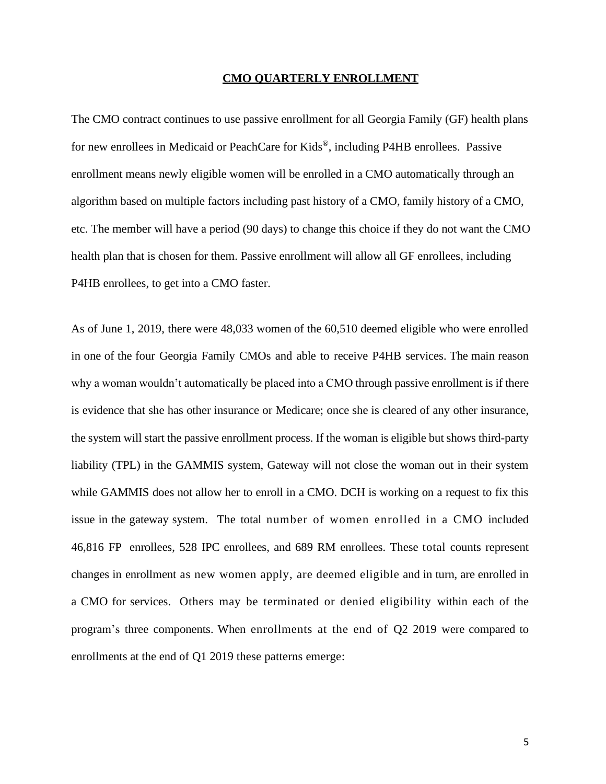#### **CMO QUARTERLY ENROLLMENT**

The CMO contract continues to use passive enrollment for all Georgia Family (GF) health plans for new enrollees in Medicaid or PeachCare for Kids ®, including P4HB enrollees. Passive enrollment means newly eligible women will be enrolled in a CMO automatically through an algorithm based on multiple factors including past history of a CMO, family history of a CMO, etc. The member will have a period (90 days) to change this choice if they do not want the CMO health plan that is chosen for them. Passive enrollment will allow all GF enrollees, including P4HB enrollees, to get into a CMO faster.

As of June 1, 2019, there were 48,033 women of the 60,510 deemed eligible who were enrolled in one of the four Georgia Family CMOs and able to receive P4HB services. The main reason why a woman wouldn't automatically be placed into a CMO through passive enrollment is if there is evidence that she has other insurance or Medicare; once she is cleared of any other insurance, the system will start the passive enrollment process. If the woman is eligible but shows third-party liability (TPL) in the GAMMIS system, Gateway will not close the woman out in their system while GAMMIS does not allow her to enroll in a CMO. DCH is working on a request to fix this issue in the gateway system. The total number of women enrolled in a CMO included 46,816 FP enrollees, 528 IPC enrollees, and 689 RM enrollees. These total counts represent changes in enrollment as new women apply, are deemed eligible and in turn, are enrolled in a CMO for services. Others may be terminated or denied eligibility within each of the program's three components. When enrollments at the end of Q2 2019 were compared to enrollments at the end of Q1 2019 these patterns emerge: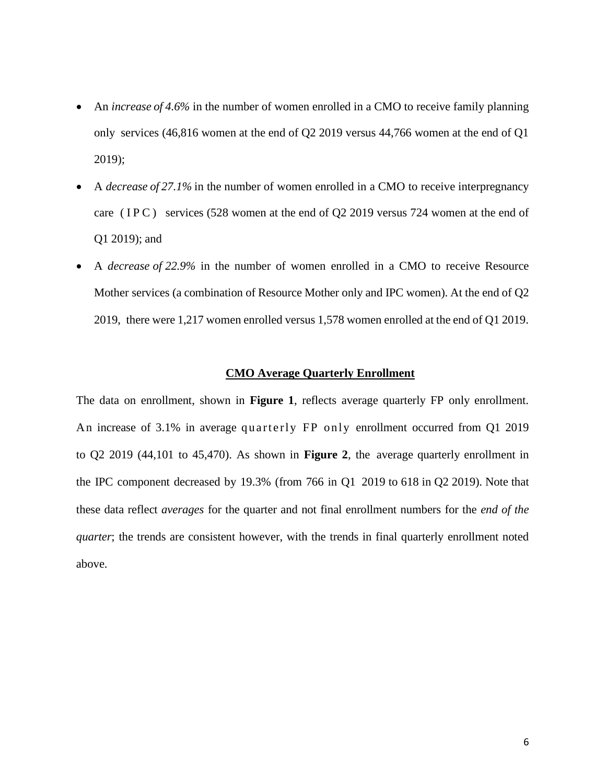- An *increase of 4.6%* in the number of women enrolled in a CMO to receive family planning only services (46,816 women at the end of Q2 2019 versus 44,766 women at the end of Q1 2019);
- A *decrease of 27.1%* in the number of women enrolled in a CMO to receive interpregnancy care ( $IPC$ ) services (528 women at the end of Q2 2019 versus 724 women at the end of Q1 2019); and
- A *decrease of 22.9%* in the number of women enrolled in a CMO to receive Resource Mother services (a combination of Resource Mother only and IPC women). At the end of Q2 2019, there were 1,217 women enrolled versus 1,578 women enrolled at the end of Q1 2019.

#### **CMO Average Quarterly Enrollment**

The data on enrollment, shown in **Figure 1**, reflects average quarterly FP only enrollment. An increase of 3.1% in average quarterly FP only enrollment occurred from Q1 2019 to Q2 2019 (44,101 to 45,470). As shown in **Figure 2**, the average quarterly enrollment in the IPC component decreased by 19.3% (from 766 in Q1 2019 to 618 in Q2 2019). Note that these data reflect *averages* for the quarter and not final enrollment numbers for the *end of the quarter*; the trends are consistent however, with the trends in final quarterly enrollment noted above.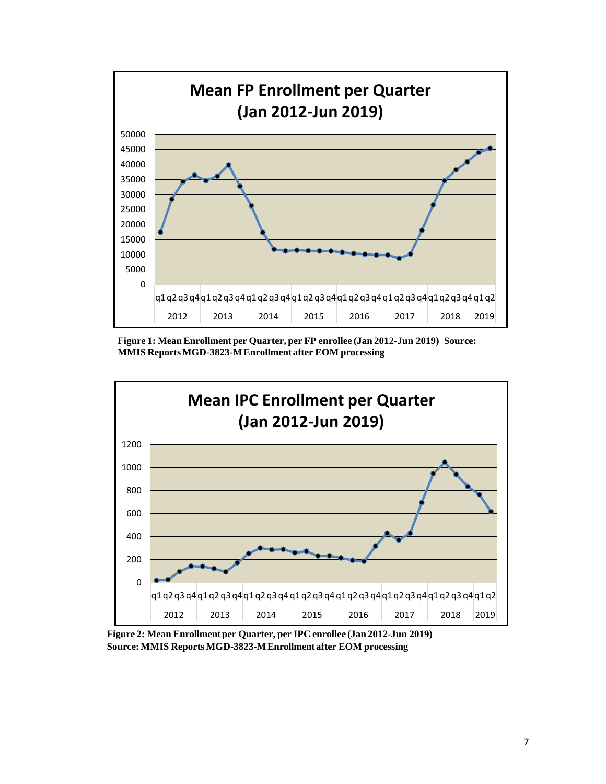

**Figure 1: Mean Enrollment per Quarter, per FP enrollee (Jan 2012-Jun 2019) Source: MMIS ReportsMGD-3823-MEnrollment after EOM processing**



**Figure 2: Mean Enrollmentper Quarter, per IPC enrollee (Jan 2012-Jun 2019) Source:MMIS Reports MGD-3823-MEnrollment after EOM processing**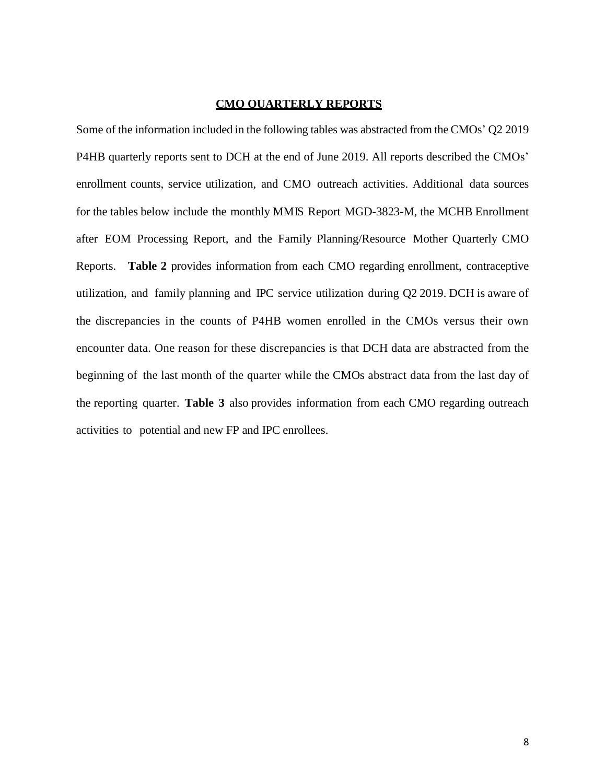### **CMO QUARTERLY REPORTS**

Some of the information included in the following tables was abstracted from the CMOs' Q2 2019 P4HB quarterly reports sent to DCH at the end of June 2019. All reports described the CMOs' enrollment counts, service utilization, and CMO outreach activities. Additional data sources for the tables below include the monthly MMIS Report MGD-3823-M, the MCHB Enrollment after EOM Processing Report, and the Family Planning/Resource Mother Quarterly CMO Reports. **Table 2** provides information from each CMO regarding enrollment, contraceptive utilization, and family planning and IPC service utilization during Q2 2019. DCH is aware of the discrepancies in the counts of P4HB women enrolled in the CMOs versus their own encounter data. One reason for these discrepancies is that DCH data are abstracted from the beginning of the last month of the quarter while the CMOs abstract data from the last day of the reporting quarter. **Table 3** also provides information from each CMO regarding outreach activities to potential and new FP and IPC enrollees.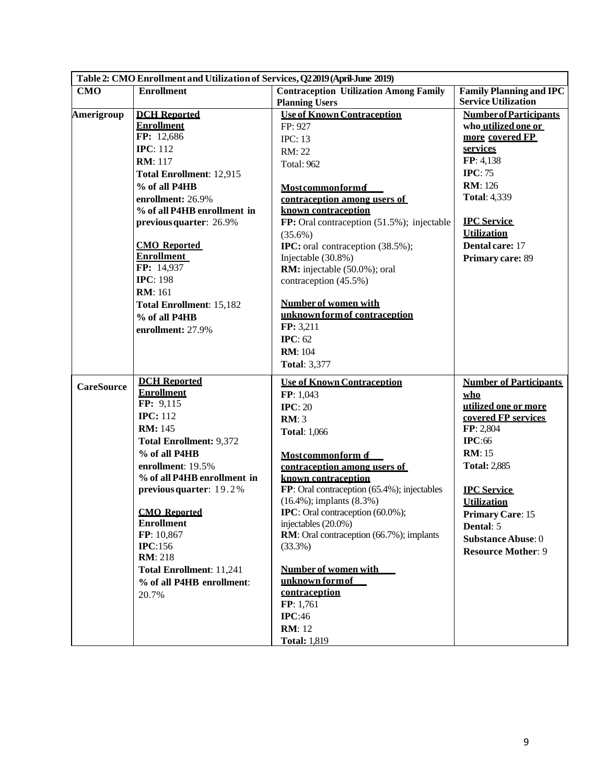| Table 2: CMO Enrollment and Utilization of Services, Q22019 (April-June 2019) |                                           |                                                                                |                                |  |  |  |  |
|-------------------------------------------------------------------------------|-------------------------------------------|--------------------------------------------------------------------------------|--------------------------------|--|--|--|--|
| <b>CMO</b>                                                                    | <b>Enrollment</b>                         | <b>Contraception Utilization Among Family</b>                                  | <b>Family Planning and IPC</b> |  |  |  |  |
|                                                                               |                                           | <b>Planning Users</b>                                                          | <b>Service Utilization</b>     |  |  |  |  |
| Amerigroup                                                                    | <b>DCH</b> Reported                       | <b>Use of Known Contraception</b>                                              | <b>Number of Participants</b>  |  |  |  |  |
|                                                                               | <b>Enrollment</b>                         | FP: 927                                                                        | who utilized one or            |  |  |  |  |
|                                                                               | FP: 12,686                                | <b>IPC: 13</b>                                                                 | more covered FP                |  |  |  |  |
|                                                                               | <b>IPC</b> : 112                          | RM: 22                                                                         | services                       |  |  |  |  |
|                                                                               | <b>RM</b> : 117                           | Total: 962                                                                     | FP: 4,138                      |  |  |  |  |
|                                                                               | Total Enrollment: 12,915                  |                                                                                | IPC: 75                        |  |  |  |  |
|                                                                               | % of all P4HB                             | <b>Mostcommonformd</b>                                                         | <b>RM</b> : 126                |  |  |  |  |
|                                                                               | enrollment: 26.9%                         | contraception among users of                                                   | <b>Total: 4,339</b>            |  |  |  |  |
|                                                                               | % of all P4HB enrollment in               | known contraception                                                            |                                |  |  |  |  |
|                                                                               | previous quarter: 26.9%                   | FP: Oral contraception (51.5%); injectable                                     | <b>IPC</b> Service             |  |  |  |  |
|                                                                               |                                           | $(35.6\%)$                                                                     | <b>Utilization</b>             |  |  |  |  |
|                                                                               | <b>CMO</b> Reported                       | IPC: oral contraception (38.5%);                                               | Dental care: 17                |  |  |  |  |
|                                                                               | <b>Enrollment</b><br>FP: 14,937           | Injectable (30.8%)                                                             | Primary care: 89               |  |  |  |  |
|                                                                               | <b>IPC</b> : 198                          | RM: injectable (50.0%); oral                                                   |                                |  |  |  |  |
|                                                                               | <b>RM</b> : 161                           | contraception (45.5%)                                                          |                                |  |  |  |  |
|                                                                               |                                           | <b>Number of women with</b>                                                    |                                |  |  |  |  |
|                                                                               | Total Enrollment: 15,182<br>% of all P4HB | unknown form of contraception                                                  |                                |  |  |  |  |
|                                                                               |                                           | FP: 3,211                                                                      |                                |  |  |  |  |
|                                                                               | enrollment: 27.9%                         | <b>IPC</b> : 62                                                                |                                |  |  |  |  |
|                                                                               |                                           | <b>RM</b> : 104                                                                |                                |  |  |  |  |
|                                                                               |                                           | <b>Total: 3,377</b>                                                            |                                |  |  |  |  |
|                                                                               |                                           |                                                                                |                                |  |  |  |  |
| <b>CareSource</b>                                                             | <b>DCH</b> Reported                       | <b>Use of Known Contraception</b>                                              | <b>Number of Participants</b>  |  |  |  |  |
|                                                                               | <b>Enrollment</b>                         | FP: 1,043                                                                      | who                            |  |  |  |  |
|                                                                               | FP: 9,115<br><b>IPC:</b> 112              | IPC: 20                                                                        | utilized one or more           |  |  |  |  |
|                                                                               |                                           | RM:3                                                                           | covered FP services            |  |  |  |  |
|                                                                               | <b>RM:</b> 145                            | <b>Total: 1,066</b>                                                            | FP: 2,804                      |  |  |  |  |
|                                                                               | <b>Total Enrollment: 9,372</b>            |                                                                                | <b>IPC:66</b>                  |  |  |  |  |
|                                                                               | % of all P4HB                             | Mostcommonform of                                                              | <b>RM</b> : 15                 |  |  |  |  |
|                                                                               | enrollment: 19.5%                         | contraception among users of                                                   | <b>Total: 2,885</b>            |  |  |  |  |
|                                                                               | % of all P4HB enrollment in               | known contraception                                                            |                                |  |  |  |  |
|                                                                               | previous quarter: 19.2%                   | FP: Oral contraception (65.4%); injectables<br>$(16.4\%)$ ; implants $(8.3\%)$ | <b>IPC</b> Service             |  |  |  |  |
|                                                                               | <b>CMO</b> Reported                       | <b>IPC</b> : Oral contraception (60.0%);                                       | <b>Utilization</b>             |  |  |  |  |
|                                                                               | <b>Enrollment</b>                         | injectables (20.0%)                                                            | <b>Primary Care: 15</b>        |  |  |  |  |
|                                                                               | FP: 10,867                                | RM: Oral contraception (66.7%); implants                                       | Dental: 5                      |  |  |  |  |
|                                                                               | <b>IPC:156</b>                            | (33.3%)                                                                        | <b>Substance Abuse: 0</b>      |  |  |  |  |
|                                                                               | <b>RM</b> : 218                           |                                                                                | <b>Resource Mother: 9</b>      |  |  |  |  |
|                                                                               | Total Enrollment: 11,241                  | Number of women with                                                           |                                |  |  |  |  |
|                                                                               | % of all P4HB enrollment:                 | unknown form of                                                                |                                |  |  |  |  |
|                                                                               | 20.7%                                     | contraception                                                                  |                                |  |  |  |  |
|                                                                               |                                           | FP: 1,761                                                                      |                                |  |  |  |  |
|                                                                               |                                           | IPC:46                                                                         |                                |  |  |  |  |
|                                                                               |                                           | <b>RM</b> : 12                                                                 |                                |  |  |  |  |
|                                                                               |                                           | <b>Total: 1,819</b>                                                            |                                |  |  |  |  |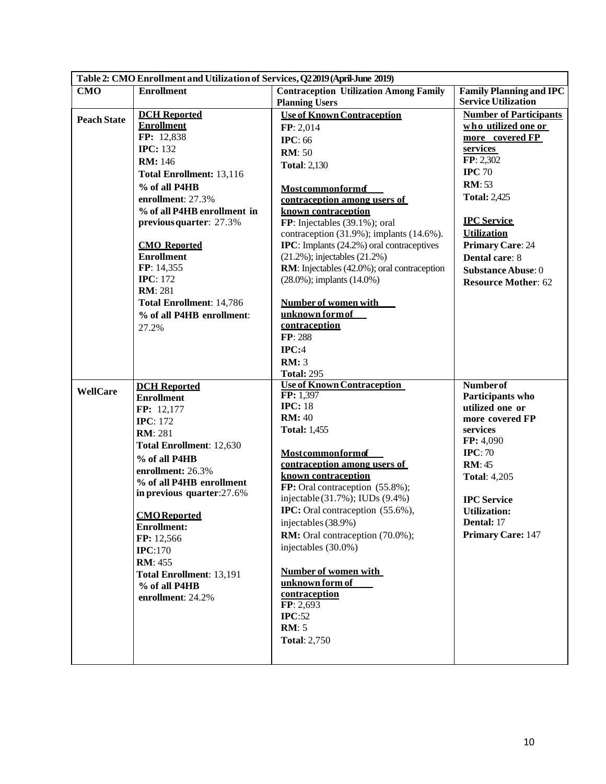| Table 2: CMO Enrollment and Utilization of Services, Q2 2019 (April-June 2019) |                                           |                                                                                 |                                |  |  |  |  |
|--------------------------------------------------------------------------------|-------------------------------------------|---------------------------------------------------------------------------------|--------------------------------|--|--|--|--|
| <b>CMO</b>                                                                     | <b>Enrollment</b>                         | <b>Contraception Utilization Among Family</b>                                   | <b>Family Planning and IPC</b> |  |  |  |  |
|                                                                                |                                           | <b>Planning Users</b>                                                           | <b>Service Utilization</b>     |  |  |  |  |
| <b>Peach State</b>                                                             | <b>DCH</b> Reported                       | <b>Use of Known Contraception</b>                                               | <b>Number of Participants</b>  |  |  |  |  |
|                                                                                | <b>Enrollment</b>                         | FP: 2,014                                                                       | who utilized one or            |  |  |  |  |
|                                                                                | FP: 12,838                                | <b>IPC: 66</b>                                                                  | more covered FP                |  |  |  |  |
|                                                                                | <b>IPC: 132</b>                           | <b>RM</b> : 50                                                                  | services                       |  |  |  |  |
|                                                                                | <b>RM: 146</b>                            | <b>Total: 2,130</b>                                                             | FP: 2,302                      |  |  |  |  |
|                                                                                | Total Enrollment: 13,116                  |                                                                                 | <b>IPC</b> 70                  |  |  |  |  |
|                                                                                | % of all P4HB                             | <b>Mostcommonformd</b>                                                          | <b>RM</b> : 53                 |  |  |  |  |
|                                                                                | enrollment: 27.3%                         | contraception among users of                                                    | <b>Total: 2,425</b>            |  |  |  |  |
|                                                                                | % of all P4HB enrollment in               | known contraception                                                             |                                |  |  |  |  |
|                                                                                | previous quarter: 27.3%                   | FP: Injectables (39.1%); oral                                                   | <b>IPC</b> Service             |  |  |  |  |
|                                                                                |                                           | contraception (31.9%); implants (14.6%).                                        | <b>Utilization</b>             |  |  |  |  |
|                                                                                | <b>CMO</b> Reported                       | <b>IPC</b> : Implants (24.2%) oral contraceptives                               | <b>Primary Care: 24</b>        |  |  |  |  |
|                                                                                | <b>Enrollment</b>                         | $(21.2\%)$ ; injectables $(21.2\%)$                                             | Dental care: 8                 |  |  |  |  |
|                                                                                | FP: 14,355<br><b>IPC</b> : 172            | RM: Injectables (42.0%); oral contraception<br>$(28.0\%)$ ; implants $(14.0\%)$ | <b>Substance Abuse: 0</b>      |  |  |  |  |
|                                                                                | <b>RM</b> : 281                           |                                                                                 | <b>Resource Mother: 62</b>     |  |  |  |  |
|                                                                                | Total Enrollment: 14,786                  | <b>Number of women with</b>                                                     |                                |  |  |  |  |
|                                                                                | % of all P4HB enrollment:                 | unknown form of                                                                 |                                |  |  |  |  |
|                                                                                | 27.2%                                     | contraception                                                                   |                                |  |  |  |  |
|                                                                                |                                           | FP: 288                                                                         |                                |  |  |  |  |
|                                                                                |                                           | IPC:4                                                                           |                                |  |  |  |  |
|                                                                                |                                           | <b>RM: 3</b>                                                                    |                                |  |  |  |  |
|                                                                                |                                           | <b>Total: 295</b>                                                               |                                |  |  |  |  |
| <b>WellCare</b>                                                                | <b>DCH</b> Reported                       | <b>Use of Known Contraception</b>                                               | <b>Numberof</b>                |  |  |  |  |
|                                                                                | <b>Enrollment</b>                         | FP: 1,397                                                                       | Participants who               |  |  |  |  |
|                                                                                | FP: 12,177                                | <b>IPC: 18</b>                                                                  | utilized one or                |  |  |  |  |
|                                                                                | <b>IPC</b> : 172                          | <b>RM: 40</b>                                                                   | more covered FP                |  |  |  |  |
|                                                                                | <b>RM</b> : 281                           | <b>Total: 1,455</b>                                                             | services<br>FP: 4,090          |  |  |  |  |
|                                                                                | Total Enrollment: 12,630                  | <b>Mostcommonformof</b>                                                         | IPC: 70                        |  |  |  |  |
|                                                                                | % of all P4HB                             | contraception among users of                                                    | <b>RM</b> : 45                 |  |  |  |  |
|                                                                                | enrollment: 26.3%                         | known contraception                                                             | <b>Total: 4,205</b>            |  |  |  |  |
|                                                                                | % of all P4HB enrollment                  | FP: Oral contraception (55.8%);                                                 |                                |  |  |  |  |
|                                                                                | in previous quarter:27.6%                 | injectable (31.7%); IUDs (9.4%)                                                 | <b>IPC</b> Service             |  |  |  |  |
|                                                                                |                                           | <b>IPC:</b> Oral contraception (55.6%),                                         | <b>Utilization:</b>            |  |  |  |  |
|                                                                                | <b>CMO</b> Reported<br><b>Enrollment:</b> | injectables (38.9%)                                                             | Dental: 17                     |  |  |  |  |
|                                                                                | FP: 12,566                                | <b>RM:</b> Oral contraception (70.0%);                                          | <b>Primary Care: 147</b>       |  |  |  |  |
|                                                                                | IPC:170                                   | injectables (30.0%)                                                             |                                |  |  |  |  |
|                                                                                | <b>RM</b> : 455                           |                                                                                 |                                |  |  |  |  |
|                                                                                | Total Enrollment: 13,191                  | <b>Number of women with</b>                                                     |                                |  |  |  |  |
|                                                                                | % of all P4HB                             | unknown form of                                                                 |                                |  |  |  |  |
|                                                                                | enrollment: 24.2%                         | contraception                                                                   |                                |  |  |  |  |
|                                                                                |                                           | FP: 2,693                                                                       |                                |  |  |  |  |
|                                                                                |                                           | IPC:52                                                                          |                                |  |  |  |  |
|                                                                                |                                           | <b>RM</b> : 5                                                                   |                                |  |  |  |  |
|                                                                                |                                           | <b>Total: 2,750</b>                                                             |                                |  |  |  |  |
|                                                                                |                                           |                                                                                 |                                |  |  |  |  |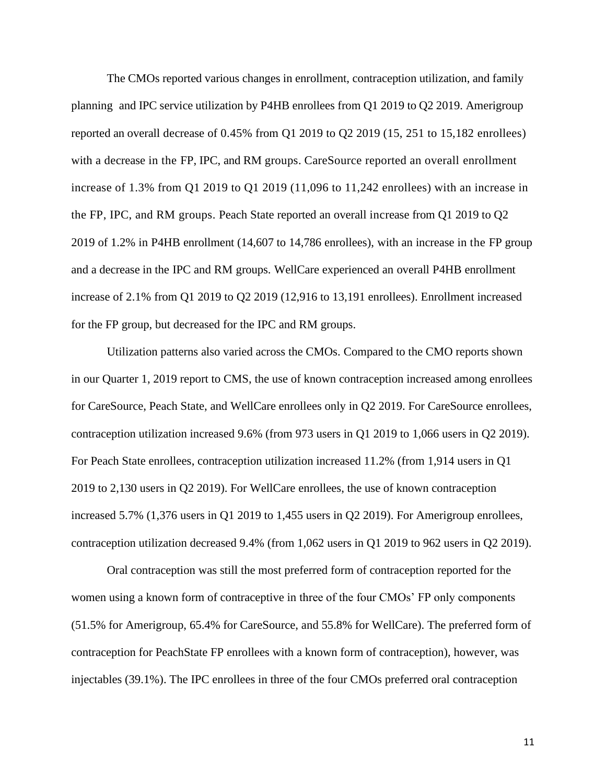The CMOs reported various changes in enrollment, contraception utilization, and family planning and IPC service utilization by P4HB enrollees from Q1 2019 to Q2 2019. Amerigroup reported an overall decrease of 0.45% from Q1 2019 to Q2 2019 (15, 251 to 15,182 enrollees) with a decrease in the FP, IPC, and RM groups. CareSource reported an overall enrollment increase of 1.3% from Q1 2019 to Q1 2019 (11,096 to 11,242 enrollees) with an increase in the FP, IPC, and RM groups. Peach State reported an overall increase from Q1 2019 to Q2 2019 of 1.2% in P4HB enrollment (14,607 to 14,786 enrollees), with an increase in the FP group and a decrease in the IPC and RM groups. WellCare experienced an overall P4HB enrollment increase of 2.1% from Q1 2019 to Q2 2019 (12,916 to 13,191 enrollees). Enrollment increased for the FP group, but decreased for the IPC and RM groups.

Utilization patterns also varied across the CMOs. Compared to the CMO reports shown in our Quarter 1, 2019 report to CMS, the use of known contraception increased among enrollees for CareSource, Peach State, and WellCare enrollees only in Q2 2019. For CareSource enrollees, contraception utilization increased 9.6% (from 973 users in Q1 2019 to 1,066 users in Q2 2019). For Peach State enrollees, contraception utilization increased 11.2% (from 1,914 users in Q1 2019 to 2,130 users in Q2 2019). For WellCare enrollees, the use of known contraception increased 5.7% (1,376 users in Q1 2019 to 1,455 users in Q2 2019). For Amerigroup enrollees, contraception utilization decreased 9.4% (from 1,062 users in Q1 2019 to 962 users in Q2 2019).

Oral contraception was still the most preferred form of contraception reported for the women using a known form of contraceptive in three of the four CMOs' FP only components (51.5% for Amerigroup, 65.4% for CareSource, and 55.8% for WellCare). The preferred form of contraception for PeachState FP enrollees with a known form of contraception), however, was injectables (39.1%). The IPC enrollees in three of the four CMOs preferred oral contraception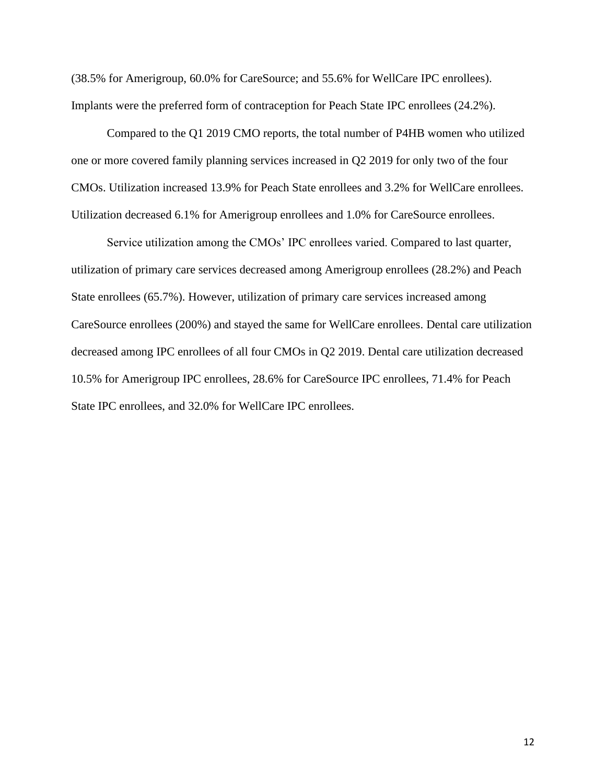(38.5% for Amerigroup, 60.0% for CareSource; and 55.6% for WellCare IPC enrollees). Implants were the preferred form of contraception for Peach State IPC enrollees (24.2%).

Compared to the Q1 2019 CMO reports, the total number of P4HB women who utilized one or more covered family planning services increased in Q2 2019 for only two of the four CMOs. Utilization increased 13.9% for Peach State enrollees and 3.2% for WellCare enrollees. Utilization decreased 6.1% for Amerigroup enrollees and 1.0% for CareSource enrollees.

Service utilization among the CMOs' IPC enrollees varied. Compared to last quarter, utilization of primary care services decreased among Amerigroup enrollees (28.2%) and Peach State enrollees (65.7%). However, utilization of primary care services increased among CareSource enrollees (200%) and stayed the same for WellCare enrollees. Dental care utilization decreased among IPC enrollees of all four CMOs in Q2 2019. Dental care utilization decreased 10.5% for Amerigroup IPC enrollees, 28.6% for CareSource IPC enrollees, 71.4% for Peach State IPC enrollees, and 32.0% for WellCare IPC enrollees.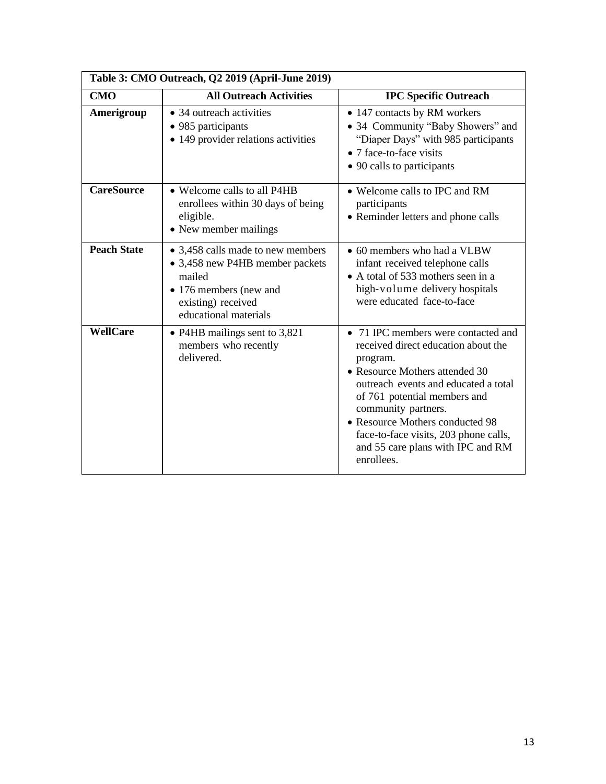| Table 3: CMO Outreach, Q2 2019 (April-June 2019) |                                                                                                                                                         |                                                                                                                                                                                                                                                                                                                                                        |  |  |  |  |
|--------------------------------------------------|---------------------------------------------------------------------------------------------------------------------------------------------------------|--------------------------------------------------------------------------------------------------------------------------------------------------------------------------------------------------------------------------------------------------------------------------------------------------------------------------------------------------------|--|--|--|--|
| <b>CMO</b>                                       | <b>All Outreach Activities</b>                                                                                                                          | <b>IPC Specific Outreach</b>                                                                                                                                                                                                                                                                                                                           |  |  |  |  |
| Amerigroup                                       | • 34 outreach activities<br>• 985 participants<br>• 149 provider relations activities                                                                   | • 147 contacts by RM workers<br>• 34 Community "Baby Showers" and<br>"Diaper Days" with 985 participants<br>• 7 face-to-face visits<br>• 90 calls to participants                                                                                                                                                                                      |  |  |  |  |
| <b>CareSource</b>                                | • Welcome calls to all P4HB<br>enrollees within 30 days of being<br>eligible.<br>• New member mailings                                                  | • Welcome calls to IPC and RM<br>participants<br>• Reminder letters and phone calls                                                                                                                                                                                                                                                                    |  |  |  |  |
| <b>Peach State</b>                               | • 3,458 calls made to new members<br>• 3,458 new P4HB member packets<br>mailed<br>• 176 members (new and<br>existing) received<br>educational materials | • 60 members who had a VLBW<br>infant received telephone calls<br>• A total of 533 mothers seen in a<br>high-volume delivery hospitals<br>were educated face-to-face                                                                                                                                                                                   |  |  |  |  |
| WellCare                                         | • P4HB mailings sent to 3,821<br>members who recently<br>delivered.                                                                                     | • 71 IPC members were contacted and<br>received direct education about the<br>program.<br>• Resource Mothers attended 30<br>outreach events and educated a total<br>of 761 potential members and<br>community partners.<br>• Resource Mothers conducted 98<br>face-to-face visits, 203 phone calls,<br>and 55 care plans with IPC and RM<br>enrollees. |  |  |  |  |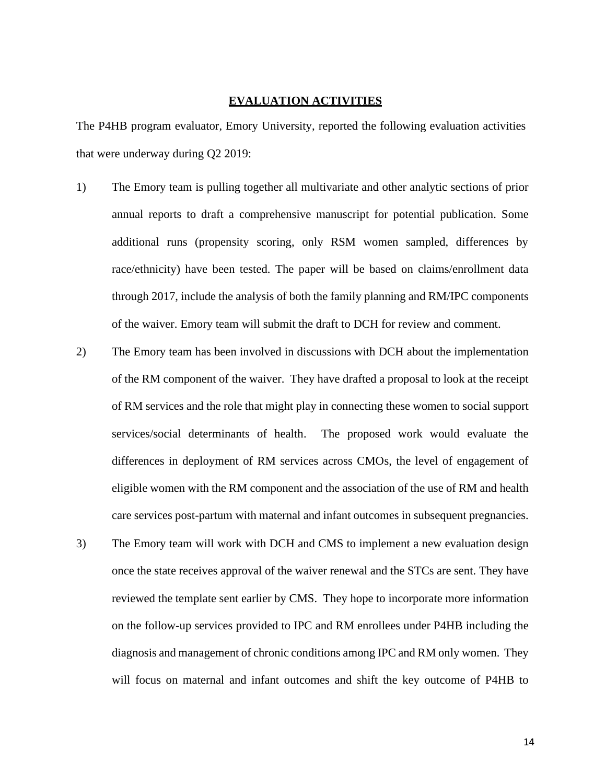### **EVALUATION ACTIVITIES**

The P4HB program evaluator, Emory University, reported the following evaluation activities that were underway during Q2 2019:

- 1) The Emory team is pulling together all multivariate and other analytic sections of prior annual reports to draft a comprehensive manuscript for potential publication. Some additional runs (propensity scoring, only RSM women sampled, differences by race/ethnicity) have been tested. The paper will be based on claims/enrollment data through 2017, include the analysis of both the family planning and RM/IPC components of the waiver. Emory team will submit the draft to DCH for review and comment.
- 2) The Emory team has been involved in discussions with DCH about the implementation of the RM component of the waiver. They have drafted a proposal to look at the receipt of RM services and the role that might play in connecting these women to social support services/social determinants of health. The proposed work would evaluate the differences in deployment of RM services across CMOs, the level of engagement of eligible women with the RM component and the association of the use of RM and health care services post-partum with maternal and infant outcomes in subsequent pregnancies.
- 3) The Emory team will work with DCH and CMS to implement a new evaluation design once the state receives approval of the waiver renewal and the STCs are sent. They have reviewed the template sent earlier by CMS. They hope to incorporate more information on the follow-up services provided to IPC and RM enrollees under P4HB including the diagnosis and management of chronic conditions among IPC and RM only women. They will focus on maternal and infant outcomes and shift the key outcome of P4HB to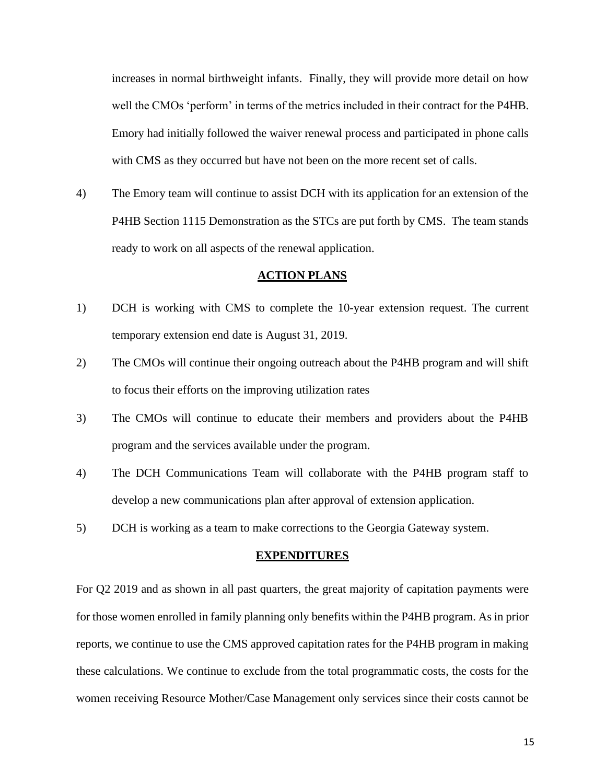increases in normal birthweight infants. Finally, they will provide more detail on how well the CMOs 'perform' in terms of the metrics included in their contract for the P4HB. Emory had initially followed the waiver renewal process and participated in phone calls with CMS as they occurred but have not been on the more recent set of calls.

4) The Emory team will continue to assist DCH with its application for an extension of the P4HB Section 1115 Demonstration as the STCs are put forth by CMS. The team stands ready to work on all aspects of the renewal application.

#### **ACTION PLANS**

- 1) DCH is working with CMS to complete the 10-year extension request. The current temporary extension end date is August 31, 2019.
- 2) The CMOs will continue their ongoing outreach about the P4HB program and will shift to focus their efforts on the improving utilization rates
- 3) The CMOs will continue to educate their members and providers about the P4HB program and the services available under the program.
- 4) The DCH Communications Team will collaborate with the P4HB program staff to develop a new communications plan after approval of extension application.
- 5) DCH is working as a team to make corrections to the Georgia Gateway system.

### **EXPENDITURES**

For Q2 2019 and as shown in all past quarters, the great majority of capitation payments were for those women enrolled in family planning only benefits within the P4HB program. As in prior reports, we continue to use the CMS approved capitation rates for the P4HB program in making these calculations. We continue to exclude from the total programmatic costs, the costs for the women receiving Resource Mother/Case Management only services since their costs cannot be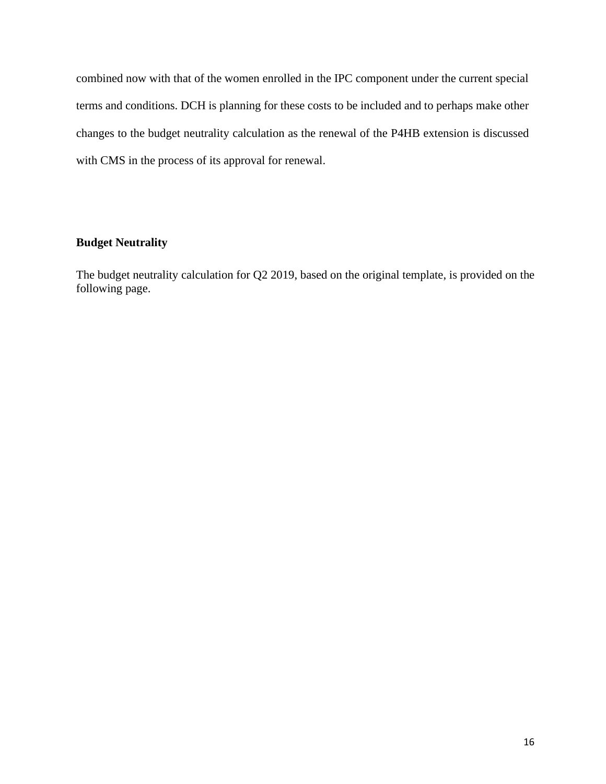combined now with that of the women enrolled in the IPC component under the current special terms and conditions. DCH is planning for these costs to be included and to perhaps make other changes to the budget neutrality calculation as the renewal of the P4HB extension is discussed with CMS in the process of its approval for renewal.

# **Budget Neutrality**

The budget neutrality calculation for Q2 2019, based on the original template, is provided on the following page.